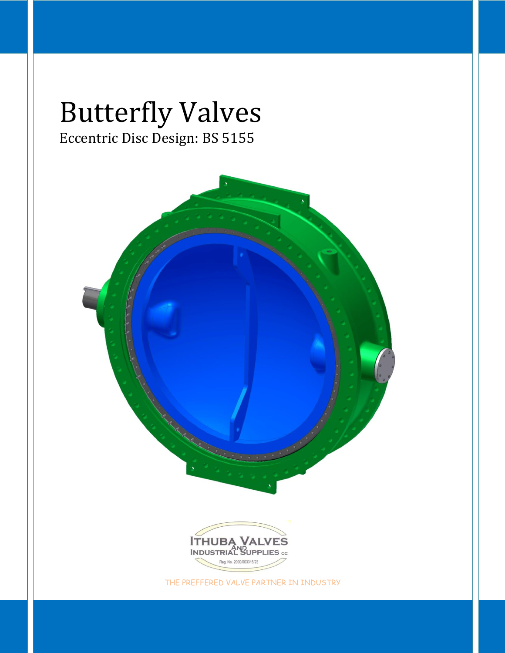# Butterfly Valves Eccentric Disc Design: BS 5155



THE PREFFERED VALVE PARTNER IN INDUSTRY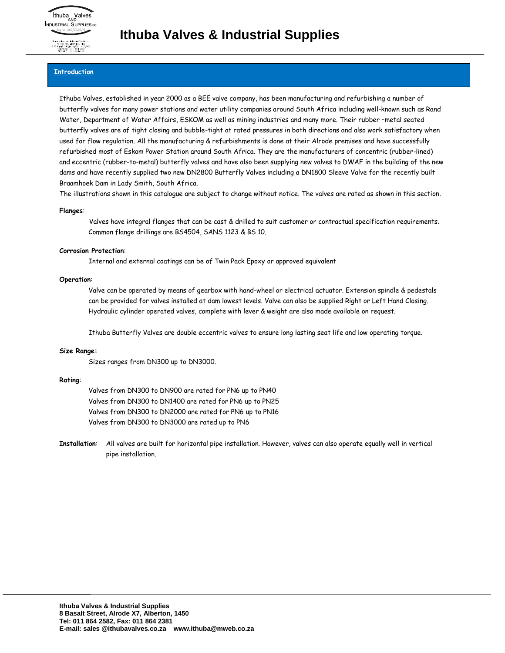

### **Introduction**

Ithuba Valves, established in year 2000 as a BEE valve company, has been manufacturing and refurbishing a number of butterfly valves for many power stations and water utility companies around South Africa including well-known such as Rand Water, Department of Water Affairs, ESKOM as well as mining industries and many more. Their rubber –metal seated butterfly valves are of tight closing and bubble-tight at rated pressures in both directions and also work satisfactory when used for flow regulation. All the manufacturing & refurbishments is done at their Alrode premises and have successfully refurbished most of Eskom Power Station around South Africa. They are the manufacturers of concentric (rubber-lined) and eccentric (rubber-to-metal) butterfly valves and have also been supplying new valves to DWAF in the building of the new dams and have recently supplied two new DN2800 Butterfly Valves including a DN1800 Sleeve Valve for the recently built Braamhoek Dam in Lady Smith, South Africa.

The illustrations shown in this catalogue are subject to change without notice. The valves are rated as shown in this section.

### **Flanges**:

Valves have integral flanges that can be cast & drilled to suit customer or contractual specification requirements. Common flange drillings are BS4504, SANS 1123 & BS 10.

### **Corrosion Protection**:

Internal and external coatings can be of Twin Pack Epoxy or approved equivalent

### **Operation**:

Valve can be operated by means of gearbox with hand-wheel or electrical actuator. Extension spindle & pedestals can be provided for valves installed at dam lowest levels. Valve can also be supplied Right or Left Hand Closing. Hydraulic cylinder operated valves, complete with lever & weight are also made available on request.

Ithuba Butterfly Valves are double eccentric valves to ensure long lasting seat life and low operating torque.

### **Size Range:**

Sizes ranges from DN300 up to DN3000.

### **Rating**:

Valves from DN300 to DN900 are rated for PN6 up to PN40 Valves from DN300 to DN1400 are rated for PN6 up to PN25 Valves from DN300 to DN2000 are rated for PN6 up to PN16 Valves from DN300 to DN3000 are rated up to PN6

**Installation**: All valves are built for horizontal pipe installation. However, valves can also operate equally well in vertical pipe installation.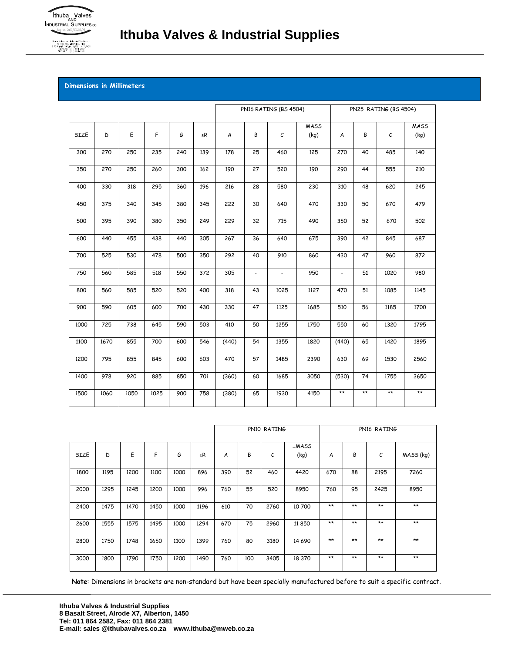

Thubo Velves and Industrial Supplies<br>PO BOX 149, ALBERTON, 1450<br>3 POTGETER STREET, AUROGE, ALBER<br>TELEPHONE: (011) 864-2382

# **Dimensions in Millimeters**

|      |      |      |             |     |     | PN16 RATING (BS 4504) |                |                          | PN25 RATING (BS 4504) |                          |              |               |                     |
|------|------|------|-------------|-----|-----|-----------------------|----------------|--------------------------|-----------------------|--------------------------|--------------|---------------|---------------------|
| SIZE | D    | Ε    | $\mathsf F$ | G   | ±R  | A                     | В              | $\mathcal C$             | <b>MASS</b><br>(kq)   | A                        | В            | $\mathcal{C}$ | <b>MASS</b><br>(kq) |
| 300  | 270  | 250  | 235         | 240 | 139 | 178                   | 25             | 460                      | 125                   | 270                      | 40           | 485           | 140                 |
| 350  | 270  | 250  | 260         | 300 | 162 | 190                   | 27             | 520                      | 190                   | 290                      | 44           | 555           | 210                 |
| 400  | 330  | 318  | 295         | 360 | 196 | 216                   | 28             | 580                      | 230                   | 310                      | 48           | 620           | 245                 |
| 450  | 375  | 340  | 345         | 380 | 345 | 222                   | 30             | 640                      | 470                   | 330                      | 50           | 670           | 479                 |
| 500  | 395  | 390  | 380         | 350 | 249 | 229                   | 32             | 715                      | 490                   | 350                      | 52           | 670           | 502                 |
| 600  | 440  | 455  | 438         | 440 | 305 | 267                   | 36             | 640                      | 675                   | 390                      | 42           | 845           | 687                 |
| 700  | 525  | 530  | 478         | 500 | 350 | 292                   | 40             | 910                      | 860                   | 430                      | 47           | 960           | 872                 |
| 750  | 560  | 585  | 518         | 550 | 372 | 305                   | $\blacksquare$ | $\overline{\phantom{a}}$ | 950                   | $\overline{\phantom{a}}$ | 51           | 1020          | 980                 |
| 800  | 560  | 585  | 520         | 520 | 400 | 318                   | 43             | 1025                     | 1127                  | 470                      | 51           | 1085          | 1145                |
| 900  | 590  | 605  | 600         | 700 | 430 | 330                   | 47             | 1125                     | 1685                  | 510                      | 56           | 1185          | 1700                |
| 1000 | 725  | 738  | 645         | 590 | 503 | 410                   | 50             | 1255                     | 1750                  | 550                      | 60           | 1320          | 1795                |
| 1100 | 1670 | 855  | 700         | 600 | 546 | (440)                 | 54             | 1355                     | 1820                  | (440)                    | 65           | 1420          | 1895                |
| 1200 | 795  | 855  | 845         | 600 | 603 | 470                   | 57             | 1485                     | 2390                  | 630                      | 69           | 1530          | 2560                |
| 1400 | 978  | 920  | 885         | 850 | 701 | (360)                 | 60             | 1685                     | 3050                  | (530)                    | 74           | 1755          | 3650                |
| 1500 | 1060 | 1050 | 1025        | 900 | 758 | (380)                 | 65             | 1930                     | 4150                  | $\star\star$             | $\star\star$ | $\star\star$  | $\star\star$        |

|      |      |      |      |      |         |     |     | PN10 RATING |               | PN16 RATING |       |      |           |  |
|------|------|------|------|------|---------|-----|-----|-------------|---------------|-------------|-------|------|-----------|--|
| SIZE | D    | E    | F    | G    | $\pm R$ | A   | В   | с           | ±MASS<br>(kq) | A           | В     | с    | MASS (kg) |  |
| 1800 | 1195 | 1200 | 1100 | 1000 | 896     | 390 | 52  | 460         | 4420          | 670         | 88    | 2195 | 7260      |  |
| 2000 | 1295 | 1245 | 1200 | 1000 | 996     | 760 | 55  | 520         | 8950          | 760         | 95    | 2425 | 8950      |  |
| 2400 | 1475 | 1470 | 1450 | 1000 | 1196    | 610 | 70  | 2760        | 10 700        | $**$        | $**$  | $**$ | $***$     |  |
| 2600 | 1555 | 1575 | 1495 | 1000 | 1294    | 670 | 75  | 2960        | 11 850        | $**$        | $**$  | $**$ | $**$      |  |
| 2800 | 1750 | 1748 | 1650 | 1100 | 1399    | 760 | 80  | 3180        | 14 690        | $**$        | $***$ | $**$ | $**$      |  |
| 3000 | 1800 | 1790 | 1750 | 1200 | 1490    | 760 | 100 | 3405        | 18 370        | $**$        | $**$  | $**$ | $**$      |  |

**Note**: Dimensions in brackets are non-standard but have been specially manufactured before to suit a specific contract.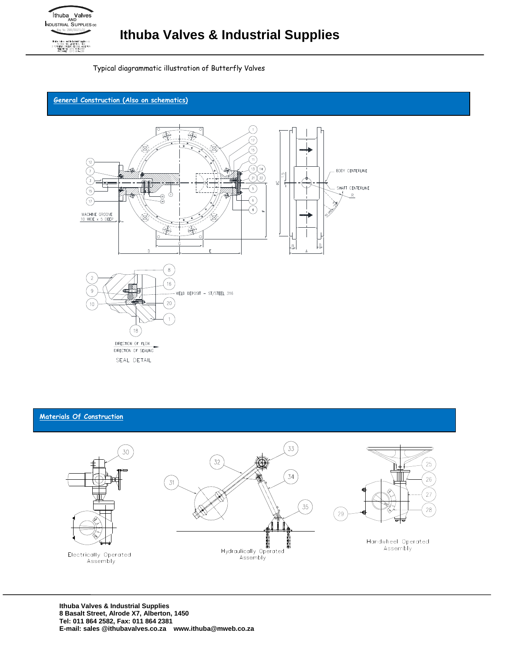

Typical diagrammatic illustration of Butterfly Valves

# **General Construction (Also on schematics)**



# **Materials Of Construction**

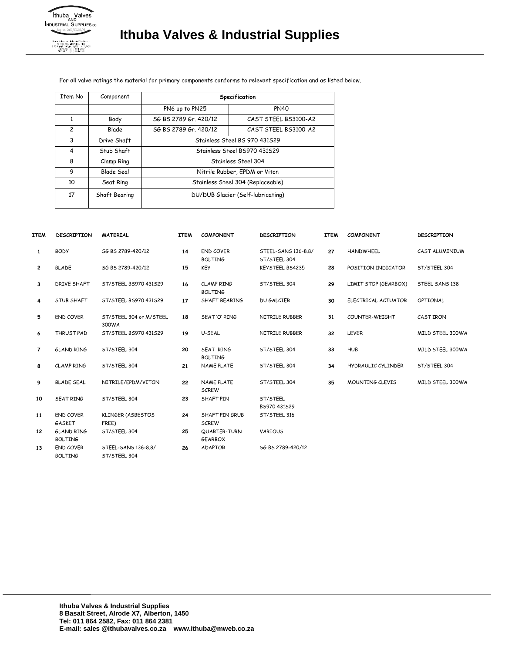

For all valve ratings the material for primary components conforms to relevant specification and as listed below.

| Item No        | Component     | Specification                     |                      |  |  |  |  |  |  |
|----------------|---------------|-----------------------------------|----------------------|--|--|--|--|--|--|
|                |               | PN6 up to PN25                    | <b>PN40</b>          |  |  |  |  |  |  |
|                | Body          | SG BS 2789 Gr. 420/12             | CAST STEEL BS3100-A2 |  |  |  |  |  |  |
| $\overline{c}$ | <b>Blade</b>  | SG BS 2789 Gr. 420/12             | CAST STEEL BS3100-A2 |  |  |  |  |  |  |
| 3              | Drive Shaft   | Stainless Steel BS 970 431529     |                      |  |  |  |  |  |  |
| 4              | Stub Shaft    | Stainless Steel BS970 431529      |                      |  |  |  |  |  |  |
| 8              | Clamp Ring    | Stainless Steel 304               |                      |  |  |  |  |  |  |
| 9              | Blade Seal    | Nitrile Rubber, EPDM or Viton     |                      |  |  |  |  |  |  |
| 10             | Seat Ring     | Stainless Steel 304 (Replaceable) |                      |  |  |  |  |  |  |
| 17             | Shaft Bearing | DU/DUB Glacier (Self-lubricating) |                      |  |  |  |  |  |  |

| <b>ITEM</b>  | <b>DESCRIPTION</b>                  | <b>MATERIAL</b>                     | <b>ITEM</b> | <b>COMPONENT</b>                   | <b>DESCRIPTION</b>                  | <b>ITEM</b> | <b>COMPONENT</b>       | <b>DESCRIPTION</b> |  |
|--------------|-------------------------------------|-------------------------------------|-------------|------------------------------------|-------------------------------------|-------------|------------------------|--------------------|--|
| 1            | <b>BODY</b>                         | SG BS 2789-420/12                   | 14          | <b>END COVER</b><br><b>BOLTING</b> | STEEL-SANS 136-8.8/<br>ST/STEEL 304 | 27          | <b>HANDWHEEL</b>       | CAST ALUMINIUM     |  |
| $\mathbf{2}$ | <b>BLADE</b>                        | SG BS 2789-420/12                   | 15          | <b>KEY</b>                         | KEYSTEEL BS4235                     | 28          | POSITION INDICATOR     | ST/STEEL 304       |  |
| 3            | DRIVE SHAFT                         | ST/STEEL BS970 431S29               | 16          | CLAMP RING<br><b>BOLTING</b>       | ST/STEEL 304                        | 29          | LIMIT STOP (GEARBOX)   | STEEL SANS 138     |  |
| 4            | STUB SHAFT                          | ST/STEEL BS970 431529               | 17          | SHAFT BEARING                      | <b>DU GALCIER</b>                   | 30          | ELECTRICAL ACTUATOR    | <b>OPTIONAL</b>    |  |
| 5            | <b>END COVER</b>                    | ST/STEEL 304 or M/STEEL<br>300WA    | 18          | SEAT'O' RING                       | NITRILE RUBBER                      | 31          | COUNTER-WEIGHT         | CAST IRON          |  |
| 6            | THRUST PAD                          | ST/STEEL BS970 431S29               | 19          | U-SEAL                             | NITRILE RUBBER                      | 32          | <b>LEVER</b>           | MILD STEEL 300WA   |  |
| 7            | <b>GLAND RING</b>                   | ST/STEEL 304                        | 20          | SEAT RING<br><b>BOLTING</b>        | ST/STEEL 304                        | 33          | <b>HUB</b>             | MILD STEEL 300WA   |  |
| 8            | <b>CLAMP RING</b>                   | ST/STEEL 304                        | 21          | <b>NAME PLATE</b>                  | ST/STEEL 304                        | 34          | HYDRAULIC CYLINDER     | ST/STEEL 304       |  |
| 9            | <b>BLADE SEAL</b>                   | NITRILE/EPDM/VITON                  | 22          | NAME PLATE<br><b>SCREW</b>         | ST/STEEL 304                        | 35          | <b>MOUNTING CLEVIS</b> | MILD STEEL 300WA   |  |
| 10           | <b>SEAT RING</b>                    | ST/STEEL 304                        | 23          | SHAFT PIN                          | ST/STEEL<br>BS970 431S29            |             |                        |                    |  |
| 11           | <b>END COVER</b><br>GASKET          | KLINGER (ASBESTOS<br>FREE)          | 24          | SHAFT PIN GRUB<br><b>SCREW</b>     | ST/STEEL 316                        |             |                        |                    |  |
| 12           | <b>GLAND RING</b><br><b>BOLTING</b> | ST/STEEL 304                        | 25          | QUARTER-TURN<br><b>GEARBOX</b>     | VARIOUS                             |             |                        |                    |  |
| 13           | <b>END COVER</b><br><b>BOLTING</b>  | STEEL-SANS 136-8.8/<br>ST/STEEL 304 | 26          | <b>ADAPTOR</b>                     | SG BS 2789-420/12                   |             |                        |                    |  |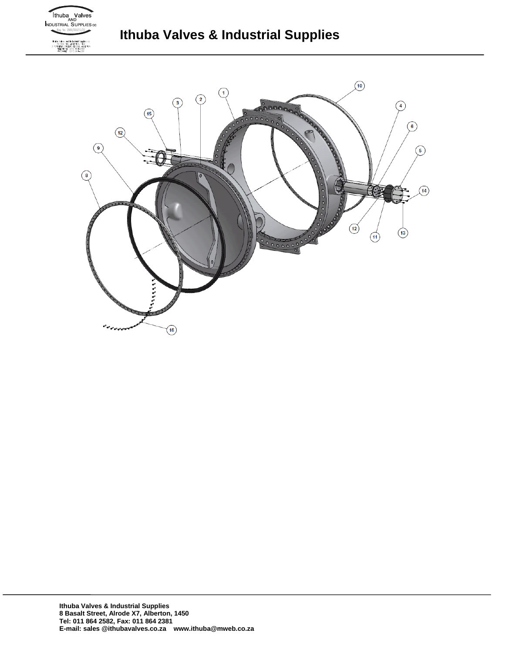

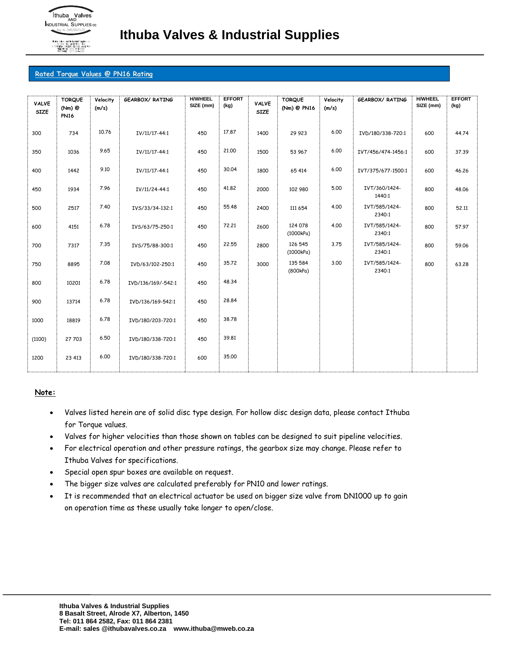

### **Rated Torque Values @ PN16 Rating**

| <b>VALVE</b><br><b>SIZE</b> | <b>TORQUE</b><br>(Nm) @<br><b>PN16</b> | Velocity<br>(m/s) | <b>GEARBOX/ RATING</b> | <b>H/WHEEL</b><br>SIZE (mm) | <b>EFFORT</b><br>(kg) | <b>VALVE</b><br><b>SIZE</b> | <b>TORQUE</b><br>(Nm) @ PN16 | Velocity<br>(m/s) | <b>GEARBOX/ RATING</b>  | <b>H/WHEEL</b><br>SIZE (mm) | <b>EFFORT</b><br>(kg) |
|-----------------------------|----------------------------------------|-------------------|------------------------|-----------------------------|-----------------------|-----------------------------|------------------------------|-------------------|-------------------------|-----------------------------|-----------------------|
| 300                         | 734                                    | 10.76             | IV/11/17-44:1          | 450                         | 17.87                 | 1400                        | 29 923                       | 6.00              | IVD/180/338-720:1       | 600                         | 44.74                 |
| 350                         | 1036                                   | 9.65              | IV/11/17-44:1          | 450                         | 21,00                 | 1500                        | 53 967                       | 6.00              | IVT/456/474-1456:1      | 600                         | 37.39                 |
| 400                         | 1442                                   | 9.10              | IV/11/17-44:1          | 450                         | 30.04                 | 1800                        | 65 414                       | 6.00              | IVT/375/677-1500:1      | 600                         | 46.26                 |
| 450                         | 1934                                   | 7.96              | IV/11/24-44:1          | 450                         | 41,82                 | 2000                        | 102 980                      | 5.00              | IVT/360/1424-<br>1440:1 | 800                         | 48.06                 |
| 500                         | 2517                                   | 7.40              | IVS/33/34-132:1        | 450                         | 55.48                 | 2400                        | 111 654                      | 4.00              | IVT/585/1424-<br>2340:1 | 800                         | 52,11                 |
| 600                         | 4151                                   | 6.78              | IVS/63/75-250:1        | 450                         | 72,21                 | 2600                        | 124 078<br>(1000kPa)         | 4.00              | IVT/585/1424-<br>2340:1 | 800                         | 57.97                 |
| 700                         | 7317                                   | 7.35              | IVS/75/88-300:1        | 450                         | 22,55                 | 2800                        | 126 545<br>(1000kPa)         | 3.75              | IVT/585/1424-<br>2340:1 | 800                         | 59.06                 |
| 750                         | 8895                                   | 7.08              | IVD/63/102-250:1       | 450                         | 35,72                 | 3000                        | 135 584<br>(800kPa)          | 3.00              | IVT/585/1424-<br>2340:1 | 800                         | 63.28                 |
| 800                         | 10201                                  | 6.78              | IVD/136/169/-542:1     | 450                         | 48.34                 |                             |                              |                   |                         |                             |                       |
| 900                         | 13714                                  | 6.78              | IVD/136/169-542:1      | 450                         | 28.84                 |                             |                              |                   |                         |                             |                       |
| 1000                        | 18819                                  | 6.78              | IVD/180/203-720:1      | 450                         | 38.78                 |                             |                              |                   |                         |                             |                       |
| (1100)                      | 27 703                                 | 6.50              | IVD/180/338-720:1      | 450                         | 39.81                 |                             |                              |                   |                         |                             |                       |
| 1200                        | 23 413                                 | 6.00              | IVD/180/338-720:1      | 600                         | 35.00                 |                             |                              |                   |                         |                             |                       |
|                             |                                        |                   |                        |                             |                       |                             |                              |                   |                         |                             |                       |

### **Note:**

- Valves listed herein are of solid disc type design. For hollow disc design data, please contact Ithuba for Torque values.
- Valves for higher velocities than those shown on tables can be designed to suit pipeline velocities.
- For electrical operation and other pressure ratings, the gearbox size may change. Please refer to Ithuba Valves for specifications.
- Special open spur boxes are available on request.
- The bigger size valves are calculated preferably for PN10 and lower ratings.
- It is recommended that an electrical actuator be used on bigger size valve from DN1000 up to gain on operation time as these usually take longer to open/close.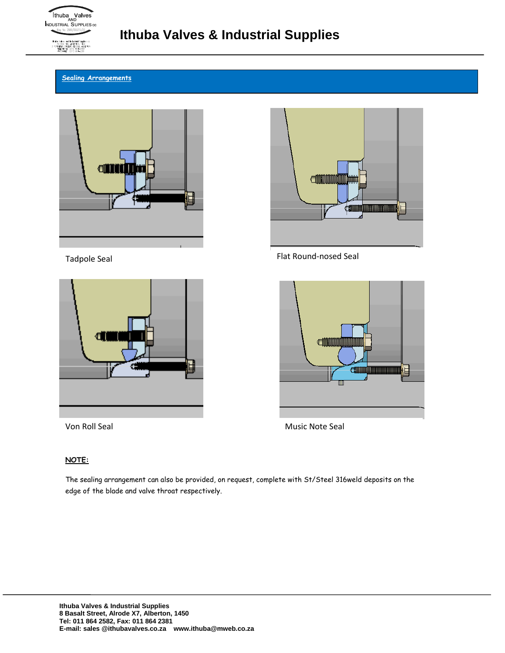

# **Sealing Arrangements**







Tadpole Seal **Flat Round-nosed Seal** 



Von Roll Seal Music Note Seal

# **NOTE:**

The sealing arrangement can also be provided, on request, complete with St/Steel 316weld deposits on the edge of the blade and valve throat respectively.